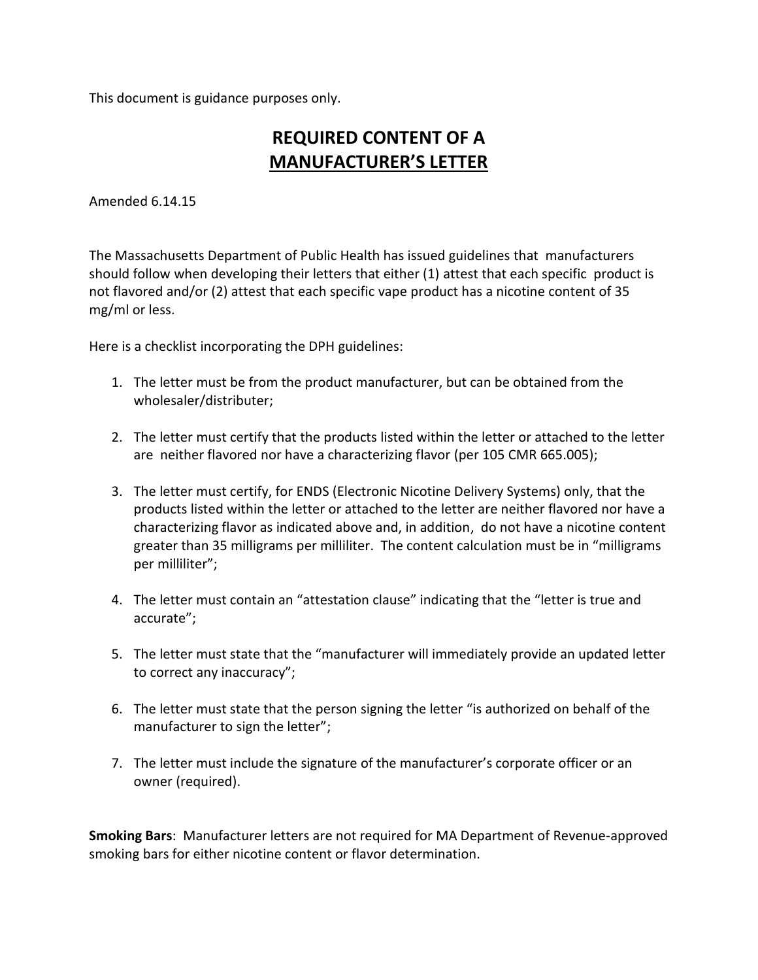This document is guidance purposes only.

## **REQUIRED CONTENT OF A MANUFACTURER'S LETTER**

Amended 6.14.15

The Massachusetts Department of Public Health has issued guidelines that manufacturers should follow when developing their letters that either (1) attest that each specific product is not flavored and/or (2) attest that each specific vape product has a nicotine content of 35 mg/ml or less.

Here is a checklist incorporating the DPH guidelines:

- 1. The letter must be from the product manufacturer, but can be obtained from the wholesaler/distributer;
- 2. The letter must certify that the products listed within the letter or attached to the letter are neither flavored nor have a characterizing flavor (per 105 CMR 665.005);
- 3. The letter must certify, for ENDS (Electronic Nicotine Delivery Systems) only, that the products listed within the letter or attached to the letter are neither flavored nor have a characterizing flavor as indicated above and, in addition, do not have a nicotine content greater than 35 milligrams per milliliter. The content calculation must be in "milligrams per milliliter";
- 4. The letter must contain an "attestation clause" indicating that the "letter is true and accurate";
- 5. The letter must state that the "manufacturer will immediately provide an updated letter to correct any inaccuracy";
- 6. The letter must state that the person signing the letter "is authorized on behalf of the manufacturer to sign the letter";
- 7. The letter must include the signature of the manufacturer's corporate officer or an owner (required).

**Smoking Bars**: Manufacturer letters are not required for MA Department of Revenue-approved smoking bars for either nicotine content or flavor determination.